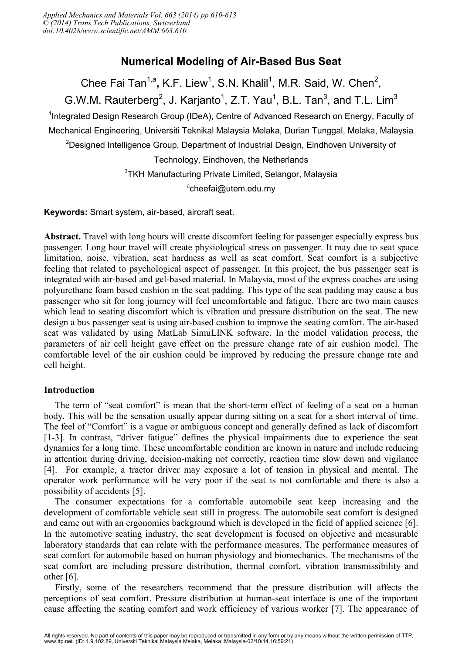# **Numerical Modeling of Air-Based Bus Seat**

Chee Fai Tan<sup>1,a</sup>, K.F. Liew<sup>1</sup>, S.N. Khalil<sup>1</sup>, M.R. Said, W. Chen<sup>2</sup>, G.W.M. Rauterberg<sup>2</sup>, J. Karjanto<sup>1</sup>, Z.T. Yau<sup>1</sup>, B.L. Tan<sup>3</sup>, and T.L. Lim<sup>3</sup> <sup>1</sup>Integrated Design Research Group (IDeA), Centre of Advanced Research on Energy, Faculty of Mechanical Engineering, Universiti Teknikal Malaysia Melaka, Durian Tunggal, Melaka, Malaysia <sup>2</sup>Designed Intelligence Group, Department of Industrial Design, Eindhoven University of Technology, Eindhoven, the Netherlands <sup>3</sup>TKH Manufacturing Private Limited, Selangor, Malaysia <sup>a</sup>cheefai@utem.edu.my

**Keywords:** Smart system, air-based, aircraft seat.

**Abstract.** Travel with long hours will create discomfort feeling for passenger especially express bus passenger. Long hour travel will create physiological stress on passenger. It may due to seat space limitation, noise, vibration, seat hardness as well as seat comfort. Seat comfort is a subjective feeling that related to psychological aspect of passenger. In this project, the bus passenger seat is integrated with air-based and gel-based material. In Malaysia, most of the express coaches are using polyurethane foam based cushion in the seat padding. This type of the seat padding may cause a bus passenger who sit for long journey will feel uncomfortable and fatigue. There are two main causes which lead to seating discomfort which is vibration and pressure distribution on the seat. The new design a bus passenger seat is using air-based cushion to improve the seating comfort. The air-based seat was validated by using MatLab SimuLINK software. In the model validation process, the parameters of air cell height gave effect on the pressure change rate of air cushion model. The comfortable level of the air cushion could be improved by reducing the pressure change rate and cell height.

## **Introduction**

The term of "seat comfort" is mean that the short-term effect of feeling of a seat on a human body. This will be the sensation usually appear during sitting on a seat for a short interval of time. The feel of "Comfort" is a vague or ambiguous concept and generally defined as lack of discomfort [1-3]. In contrast, "driver fatigue" defines the physical impairments due to experience the seat dynamics for a long time. These uncomfortable condition are known in nature and include reducing in attention during driving, decision-making not correctly, reaction time slow down and vigilance [4]. For example, a tractor driver may exposure a lot of tension in physical and mental. The operator work performance will be very poor if the seat is not comfortable and there is also a possibility of accidents [5].

The consumer expectations for a comfortable automobile seat keep increasing and the development of comfortable vehicle seat still in progress. The automobile seat comfort is designed and came out with an ergonomics background which is developed in the field of applied science [6]. In the automotive seating industry, the seat development is focused on objective and measurable laboratory standards that can relate with the performance measures. The performance measures of seat comfort for automobile based on human physiology and biomechanics. The mechanisms of the seat comfort are including pressure distribution, thermal comfort, vibration transmissibility and other [6].

Firstly, some of the researchers recommend that the pressure distribution will affects the perceptions of seat comfort. Pressure distribution at human-seat interface is one of the important cause affecting the seating comfort and work efficiency of various worker [7]. The appearance of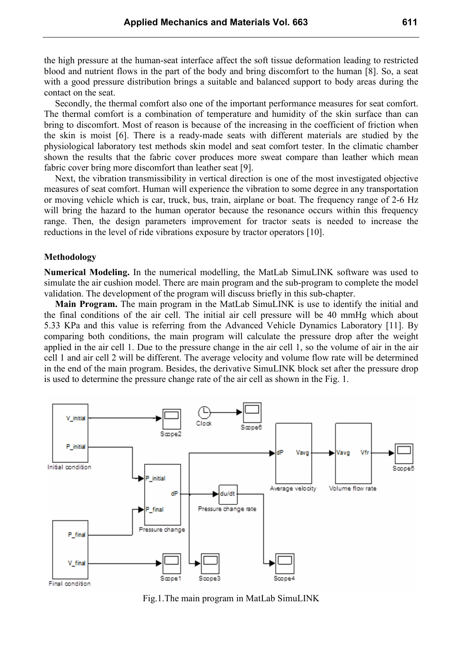the high pressure at the human-seat interface affect the soft tissue deformation leading to restricted blood and nutrient flows in the part of the body and bring discomfort to the human [8]. So, a seat with a good pressure distribution brings a suitable and balanced support to body areas during the contact on the seat.

Secondly, the thermal comfort also one of the important performance measures for seat comfort. The thermal comfort is a combination of temperature and humidity of the skin surface than can bring to discomfort. Most of reason is because of the increasing in the coefficient of friction when the skin is moist [6]. There is a ready-made seats with different materials are studied by the physiological laboratory test methods skin model and seat comfort tester. In the climatic chamber shown the results that the fabric cover produces more sweat compare than leather which mean fabric cover bring more discomfort than leather seat [9].

Next, the vibration transmissibility in vertical direction is one of the most investigated objective measures of seat comfort. Human will experience the vibration to some degree in any transportation or moving vehicle which is car, truck, bus, train, airplane or boat. The frequency range of 2-6 Hz will bring the hazard to the human operator because the resonance occurs within this frequency range. Then, the design parameters improvement for tractor seats is needed to increase the reductions in the level of ride vibrations exposure by tractor operators [10].

#### **Methodology**

**Numerical Modeling.** In the numerical modelling, the MatLab SimuLINK software was used to simulate the air cushion model. There are main program and the sub-program to complete the model validation. The development of the program will discuss briefly in this sub-chapter.

**Main Program.** The main program in the MatLab SimuLINK is use to identify the initial and the final conditions of the air cell. The initial air cell pressure will be 40 mmHg which about 5.33 KPa and this value is referring from the Advanced Vehicle Dynamics Laboratory [11]. By comparing both conditions, the main program will calculate the pressure drop after the weight applied in the air cell 1. Due to the pressure change in the air cell 1, so the volume of air in the air cell 1 and air cell 2 will be different. The average velocity and volume flow rate will be determined in the end of the main program. Besides, the derivative SimuLINK block set after the pressure drop is used to determine the pressure change rate of the air cell as shown in the Fig. 1.



Fig.1.The main program in MatLab SimuLINK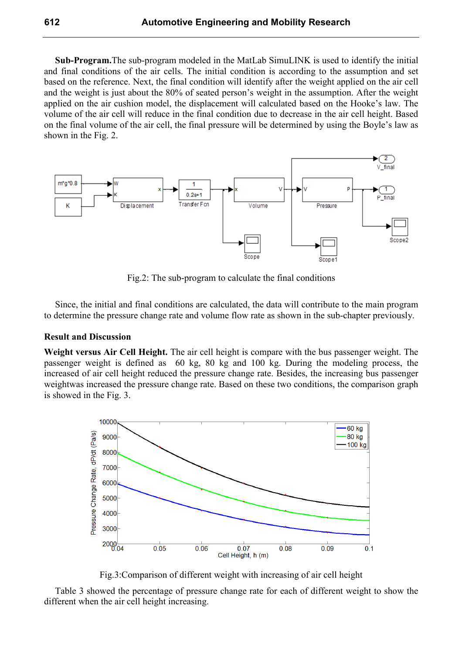**Sub-Program.**The sub-program modeled in the MatLab SimuLINK is used to identify the initial and final conditions of the air cells. The initial condition is according to the assumption and set based on the reference. Next, the final condition will identify after the weight applied on the air cell and the weight is just about the 80% of seated person's weight in the assumption. After the weight applied on the air cushion model, the displacement will calculated based on the Hooke's law. The volume of the air cell will reduce in the final condition due to decrease in the air cell height. Based on the final volume of the air cell, the final pressure will be determined by using the Boyle's law as shown in the Fig. 2.



Fig.2: The sub-program to calculate the final conditions

Since, the initial and final conditions are calculated, the data will contribute to the main program to determine the pressure change rate and volume flow rate as shown in the sub-chapter previously.

### **Result and Discussion**

**Weight versus Air Cell Height.** The air cell height is compare with the bus passenger weight. The passenger weight is defined as 60 kg, 80 kg and 100 kg. During the modeling process, the increased of air cell height reduced the pressure change rate. Besides, the increasing bus passenger weightwas increased the pressure change rate. Based on these two conditions, the comparison graph is showed in the Fig. 3.



Fig.3:Comparison of different weight with increasing of air cell height

Table 3 showed the percentage of pressure change rate for each of different weight to show the different when the air cell height increasing.